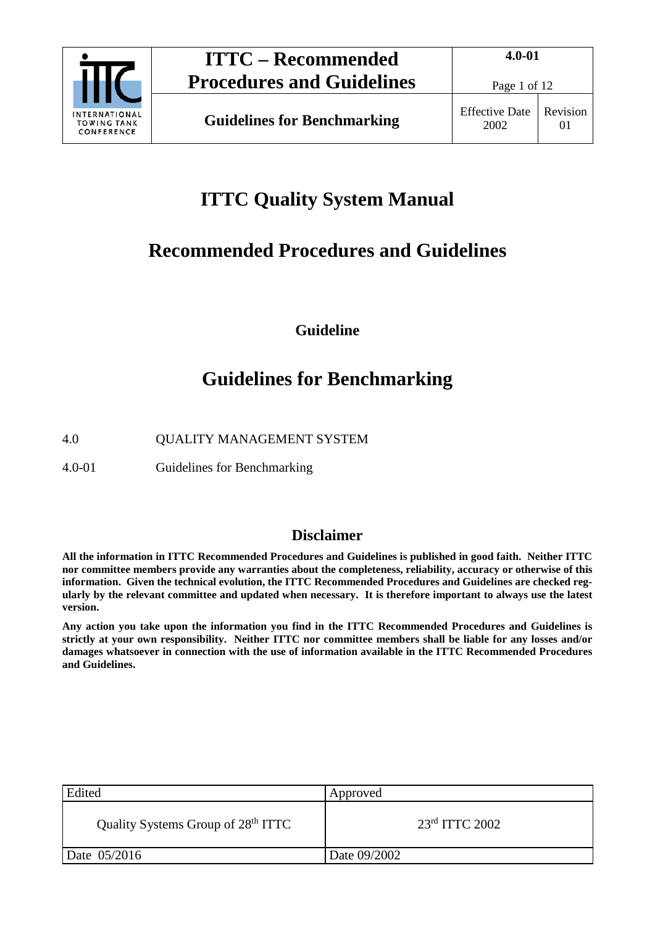

# **ITTC Quality System Manual**

# **Recommended Procedures and Guidelines**

**Guideline**

# **Guidelines for Benchmarking**

4.0 QUALITY MANAGEMENT SYSTEM

4.0-01 Guidelines for Benchmarking

## **Disclaimer**

**All the information in ITTC Recommended Procedures and Guidelines is published in good faith. Neither ITTC nor committee members provide any warranties about the completeness, reliability, accuracy or otherwise of this information. Given the technical evolution, the ITTC Recommended Procedures and Guidelines are checked regularly by the relevant committee and updated when necessary. It is therefore important to always use the latest version.**

**Any action you take upon the information you find in the ITTC Recommended Procedures and Guidelines is strictly at your own responsibility. Neither ITTC nor committee members shall be liable for any losses and/or damages whatsoever in connection with the use of information available in the ITTC Recommended Procedures and Guidelines.**

| Edited                                         | Approved         |
|------------------------------------------------|------------------|
| Quality Systems Group of 28 <sup>th</sup> ITTC | $23rd$ ITTC 2002 |
| Date 05/2016                                   | Date 09/2002     |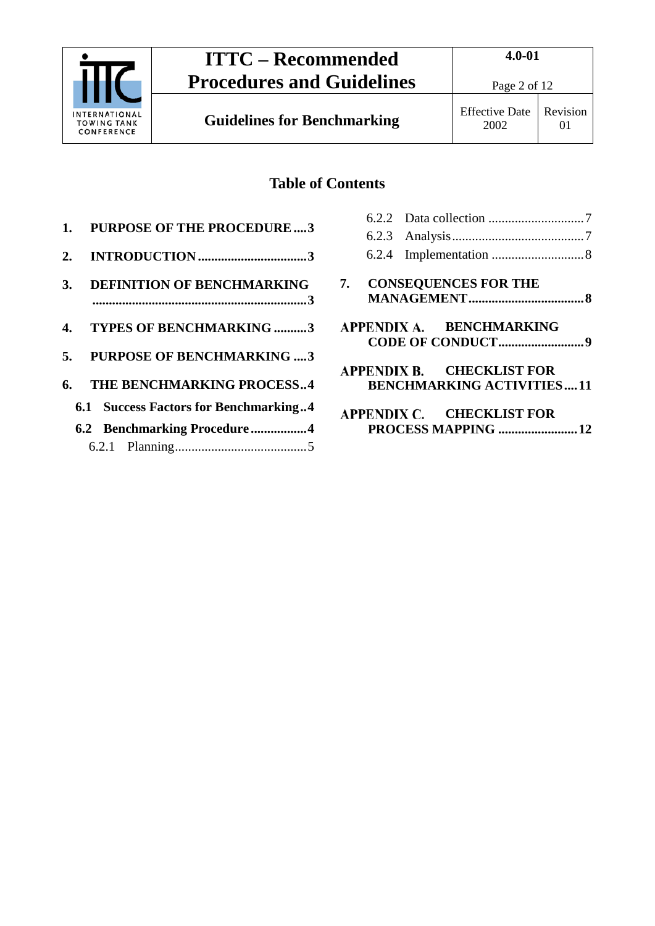

**Guidelines for Benchmarking** Effective Date

## **Table of Contents**

- **1. [PURPOSE OF THE PROCEDURE....3](#page-2-0)**
- **2. INTRODUCTION [.................................3](#page-2-1)**
- **3. [DEFINITION OF BENCHMARKING](#page-2-2) [.................................................................3](#page-2-2)**
- **4. [TYPES OF BENCHMARKING](#page-2-3) ..........3**
- **5. [PURPOSE OF BENCHMARKING](#page-2-4) ....3**
- **6. [THE BENCHMARKING PROCESS..4](#page-3-0)**
	- **6.1 [Success Factors for Benchmarking..4](#page-3-1)**
	- **6.2 [Benchmarking Procedure](#page-3-2) .................4** 6.2.1 [Planning........................................5](#page-4-0)

|  | 7. CONSEQUENCES FOR THE                                       |  |
|--|---------------------------------------------------------------|--|
|  | APPENDIX A. BENCHMARKING                                      |  |
|  | APPENDIX B. CHECKLIST FOR<br><b>BENCHMARKING ACTIVITIES11</b> |  |
|  | APPENDIX C. CHECKLIST FOR                                     |  |

**[PROCESS MAPPING](#page-11-0) ........................12**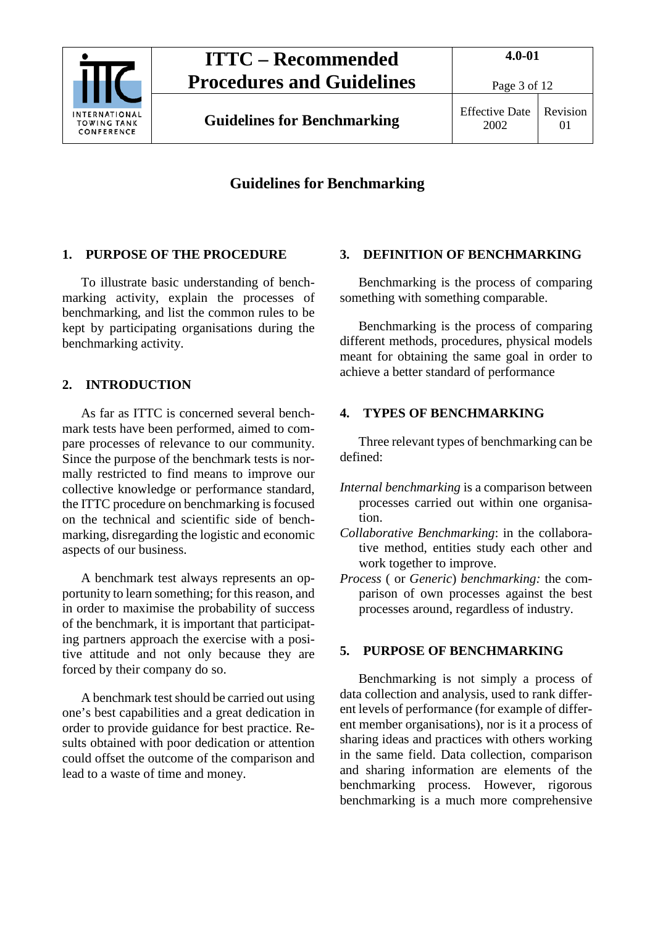

**Guidelines for Benchmarking** Effective Date

### **Guidelines for Benchmarking**

#### <span id="page-2-0"></span>**1. PURPOSE OF THE PROCEDURE**

To illustrate basic understanding of benchmarking activity, explain the processes of benchmarking, and list the common rules to be kept by participating organisations during the benchmarking activity.

#### <span id="page-2-1"></span>**2. INTRODUCTION**

As far as ITTC is concerned several benchmark tests have been performed, aimed to compare processes of relevance to our community. Since the purpose of the benchmark tests is normally restricted to find means to improve our collective knowledge or performance standard, the ITTC procedure on benchmarking is focused on the technical and scientific side of benchmarking, disregarding the logistic and economic aspects of our business.

A benchmark test always represents an opportunity to learn something; for this reason, and in order to maximise the probability of success of the benchmark, it is important that participating partners approach the exercise with a positive attitude and not only because they are forced by their company do so.

A benchmark test should be carried out using one's best capabilities and a great dedication in order to provide guidance for best practice. Results obtained with poor dedication or attention could offset the outcome of the comparison and lead to a waste of time and money.

#### <span id="page-2-2"></span>**3. DEFINITION OF BENCHMARKING**

Benchmarking is the process of comparing something with something comparable.

Benchmarking is the process of comparing different methods, procedures, physical models meant for obtaining the same goal in order to achieve a better standard of performance

### <span id="page-2-3"></span>**4. TYPES OF BENCHMARKING**

Three relevant types of benchmarking can be defined:

- *Internal benchmarking* is a comparison between processes carried out within one organisation.
- *Collaborative Benchmarking*: in the collaborative method, entities study each other and work together to improve.
- *Process* ( or *Generic*) *benchmarking:* the comparison of own processes against the best processes around, regardless of industry.

#### <span id="page-2-4"></span>**5. PURPOSE OF BENCHMARKING**

Benchmarking is not simply a process of data collection and analysis, used to rank different levels of performance (for example of different member organisations), nor is it a process of sharing ideas and practices with others working in the same field. Data collection, comparison and sharing information are elements of the benchmarking process. However, rigorous benchmarking is a much more comprehensive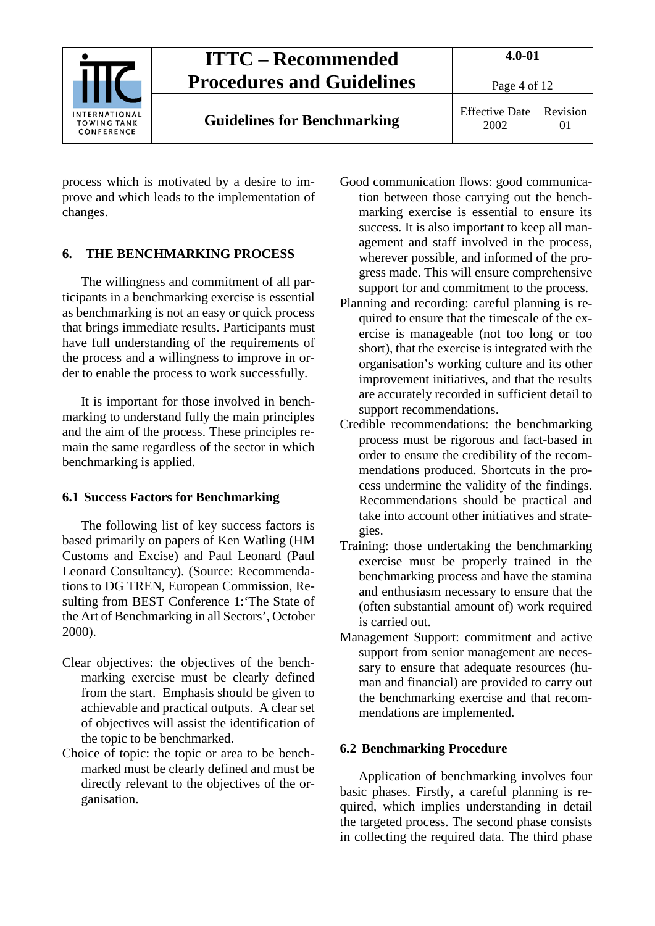

process which is motivated by a desire to improve and which leads to the implementation of changes.

#### <span id="page-3-0"></span>**6. THE BENCHMARKING PROCESS**

The willingness and commitment of all participants in a benchmarking exercise is essential as benchmarking is not an easy or quick process that brings immediate results. Participants must have full understanding of the requirements of the process and a willingness to improve in order to enable the process to work successfully.

It is important for those involved in benchmarking to understand fully the main principles and the aim of the process. These principles remain the same regardless of the sector in which benchmarking is applied.

#### <span id="page-3-1"></span>**6.1 Success Factors for Benchmarking**

The following list of key success factors is based primarily on papers of Ken Watling (HM Customs and Excise) and Paul Leonard (Paul Leonard Consultancy). (Source: Recommendations to DG TREN, European Commission, Resulting from BEST Conference 1:'The State of the Art of Benchmarking in all Sectors', October 2000).

- Clear objectives: the objectives of the benchmarking exercise must be clearly defined from the start. Emphasis should be given to achievable and practical outputs. A clear set of objectives will assist the identification of the topic to be benchmarked.
- Choice of topic: the topic or area to be benchmarked must be clearly defined and must be directly relevant to the objectives of the organisation.
- Good communication flows: good communication between those carrying out the benchmarking exercise is essential to ensure its success. It is also important to keep all management and staff involved in the process, wherever possible, and informed of the progress made. This will ensure comprehensive support for and commitment to the process.
- Planning and recording: careful planning is required to ensure that the timescale of the exercise is manageable (not too long or too short), that the exercise is integrated with the organisation's working culture and its other improvement initiatives, and that the results are accurately recorded in sufficient detail to support recommendations.
- Credible recommendations: the benchmarking process must be rigorous and fact-based in order to ensure the credibility of the recommendations produced. Shortcuts in the process undermine the validity of the findings. Recommendations should be practical and take into account other initiatives and strategies.
- Training: those undertaking the benchmarking exercise must be properly trained in the benchmarking process and have the stamina and enthusiasm necessary to ensure that the (often substantial amount of) work required is carried out.
- Management Support: commitment and active support from senior management are necessary to ensure that adequate resources (human and financial) are provided to carry out the benchmarking exercise and that recommendations are implemented.

#### <span id="page-3-2"></span>**6.2 Benchmarking Procedure**

Application of benchmarking involves four basic phases. Firstly, a careful planning is required, which implies understanding in detail the targeted process. The second phase consists in collecting the required data. The third phase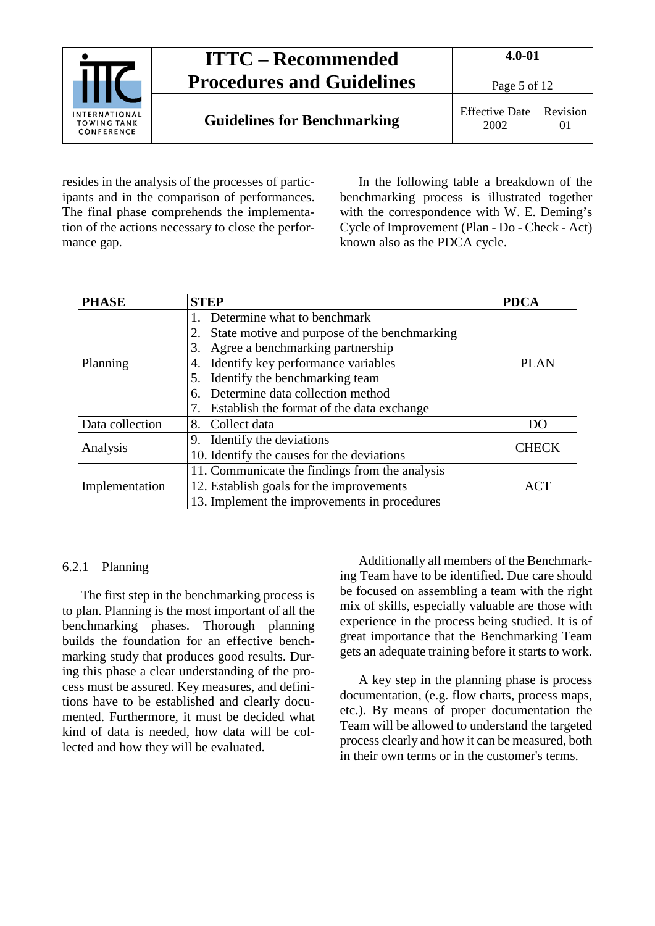

resides in the analysis of the processes of participants and in the comparison of performances. The final phase comprehends the implementation of the actions necessary to close the performance gap.

In the following table a breakdown of the benchmarking process is illustrated together with the correspondence with W. E. Deming's Cycle of Improvement (Plan - Do - Check - Act) known also as the PDCA cycle.

| <b>PHASE</b>    | <b>STEP</b>                                     | <b>PDCA</b>  |  |  |
|-----------------|-------------------------------------------------|--------------|--|--|
|                 | Determine what to benchmark                     |              |  |  |
|                 | State motive and purpose of the benchmarking    |              |  |  |
|                 | Agree a benchmarking partnership<br>3.          |              |  |  |
| Planning        | Identify key performance variables<br>4.        | <b>PLAN</b>  |  |  |
|                 | Identify the benchmarking team<br>5.            |              |  |  |
|                 | Determine data collection method<br>6.          |              |  |  |
|                 | Establish the format of the data exchange       |              |  |  |
| Data collection | 8. Collect data                                 | DO           |  |  |
|                 | 9. Identify the deviations                      |              |  |  |
| Analysis        | 10. Identify the causes for the deviations      | <b>CHECK</b> |  |  |
|                 | 11. Communicate the findings from the analysis  |              |  |  |
| Implementation  | 12. Establish goals for the improvements<br>ACT |              |  |  |
|                 | 13. Implement the improvements in procedures    |              |  |  |

#### <span id="page-4-0"></span>6.2.1 Planning

The first step in the benchmarking process is to plan. Planning is the most important of all the benchmarking phases. Thorough planning builds the foundation for an effective benchmarking study that produces good results. During this phase a clear understanding of the process must be assured. Key measures, and definitions have to be established and clearly documented. Furthermore, it must be decided what kind of data is needed, how data will be collected and how they will be evaluated.

Additionally all members of the Benchmarking Team have to be identified. Due care should be focused on assembling a team with the right mix of skills, especially valuable are those with experience in the process being studied. It is of great importance that the Benchmarking Team gets an adequate training before it starts to work.

A key step in the planning phase is process documentation, (e.g. flow charts, process maps, etc.). By means of proper documentation the Team will be allowed to understand the targeted process clearly and how it can be measured, both in their own terms or in the customer's terms.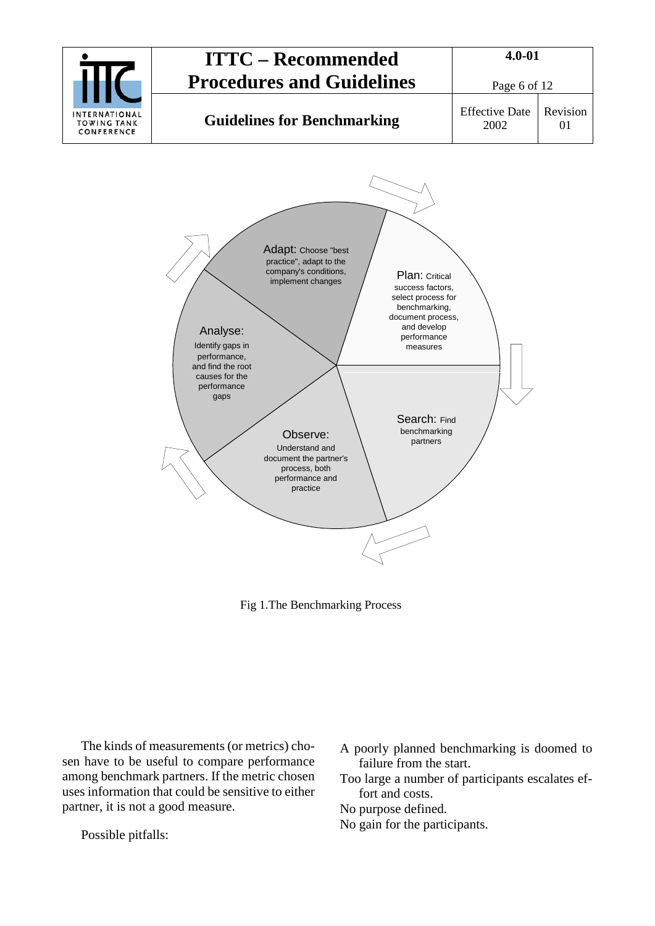

Fig 1.The Benchmarking Process

The kinds of measurements (or metrics) chosen have to be useful to compare performance among benchmark partners. If the metric chosen uses information that could be sensitive to either partner, it is not a good measure.

Possible pitfalls:

|  |                         | A poorly planned benchmarking is doomed to |  |  |
|--|-------------------------|--------------------------------------------|--|--|
|  | failure from the start. |                                            |  |  |

Too large a number of participants escalates effort and costs.

No purpose defined.

No gain for the participants.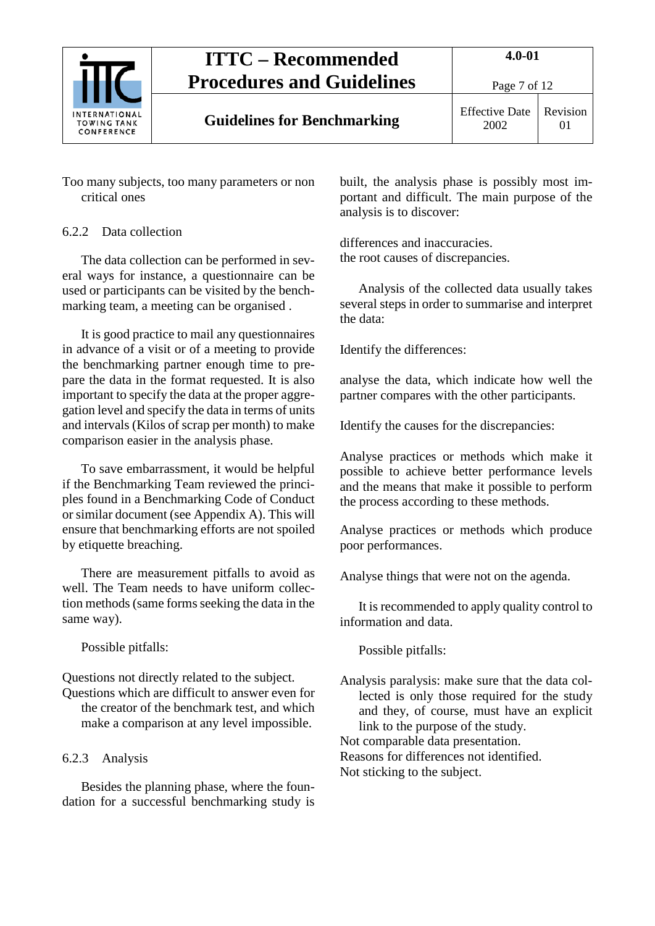

01

Too many subjects, too many parameters or non critical ones

## <span id="page-6-0"></span>6.2.2 Data collection

The data collection can be performed in several ways for instance, a questionnaire can be used or participants can be visited by the benchmarking team, a meeting can be organised .

It is good practice to mail any questionnaires in advance of a visit or of a meeting to provide the benchmarking partner enough time to prepare the data in the format requested. It is also important to specify the data at the proper aggregation level and specify the data in terms of units and intervals (Kilos of scrap per month) to make comparison easier in the analysis phase.

To save embarrassment, it would be helpful if the Benchmarking Team reviewed the principles found in a Benchmarking Code of Conduct or similar document (see Appendix A). This will ensure that benchmarking efforts are not spoiled by etiquette breaching.

There are measurement pitfalls to avoid as well. The Team needs to have uniform collection methods (same forms seeking the data in the same way).

Possible pitfalls:

Questions not directly related to the subject.

Questions which are difficult to answer even for the creator of the benchmark test, and which make a comparison at any level impossible.

## <span id="page-6-1"></span>6.2.3 Analysis

Besides the planning phase, where the foundation for a successful benchmarking study is built, the analysis phase is possibly most important and difficult. The main purpose of the analysis is to discover:

differences and inaccuracies. the root causes of discrepancies.

Analysis of the collected data usually takes several steps in order to summarise and interpret the data:

Identify the differences:

analyse the data, which indicate how well the partner compares with the other participants.

Identify the causes for the discrepancies:

Analyse practices or methods which make it possible to achieve better performance levels and the means that make it possible to perform the process according to these methods.

Analyse practices or methods which produce poor performances.

Analyse things that were not on the agenda.

It is recommended to apply quality control to information and data.

Possible pitfalls:

Analysis paralysis: make sure that the data collected is only those required for the study and they, of course, must have an explicit link to the purpose of the study. Not comparable data presentation.

Reasons for differences not identified.

Not sticking to the subject.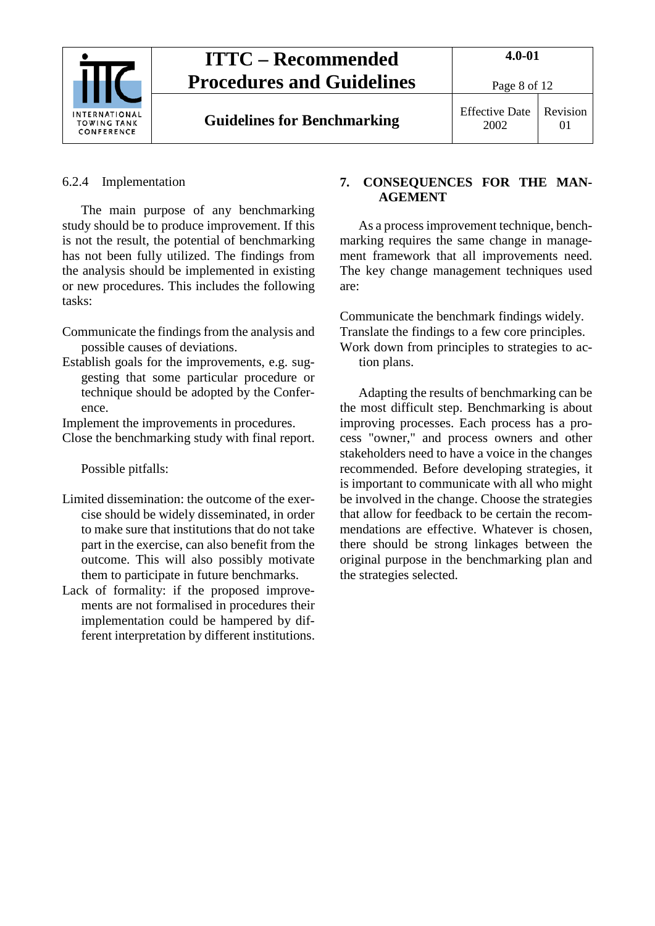

<span id="page-7-0"></span>6.2.4 Implementation

The main purpose of any benchmarking study should be to produce improvement. If this is not the result, the potential of benchmarking has not been fully utilized. The findings from the analysis should be implemented in existing or new procedures. This includes the following tasks:

- Communicate the findings from the analysis and possible causes of deviations.
- Establish goals for the improvements, e.g. suggesting that some particular procedure or technique should be adopted by the Conference.

Implement the improvements in procedures.

Close the benchmarking study with final report.

Possible pitfalls:

- Limited dissemination: the outcome of the exercise should be widely disseminated, in order to make sure that institutions that do not take part in the exercise, can also benefit from the outcome. This will also possibly motivate them to participate in future benchmarks.
- Lack of formality: if the proposed improvements are not formalised in procedures their implementation could be hampered by different interpretation by different institutions.

#### <span id="page-7-1"></span>**7. CONSEQUENCES FOR THE MAN-AGEMENT**

As a process improvement technique, benchmarking requires the same change in management framework that all improvements need. The key change management techniques used are:

Communicate the benchmark findings widely. Translate the findings to a few core principles. Work down from principles to strategies to ac-

tion plans.

Adapting the results of benchmarking can be the most difficult step. Benchmarking is about improving processes. Each process has a process "owner," and process owners and other stakeholders need to have a voice in the changes recommended. Before developing strategies, it is important to communicate with all who might be involved in the change. Choose the strategies that allow for feedback to be certain the recommendations are effective. Whatever is chosen, there should be strong linkages between the original purpose in the benchmarking plan and the strategies selected.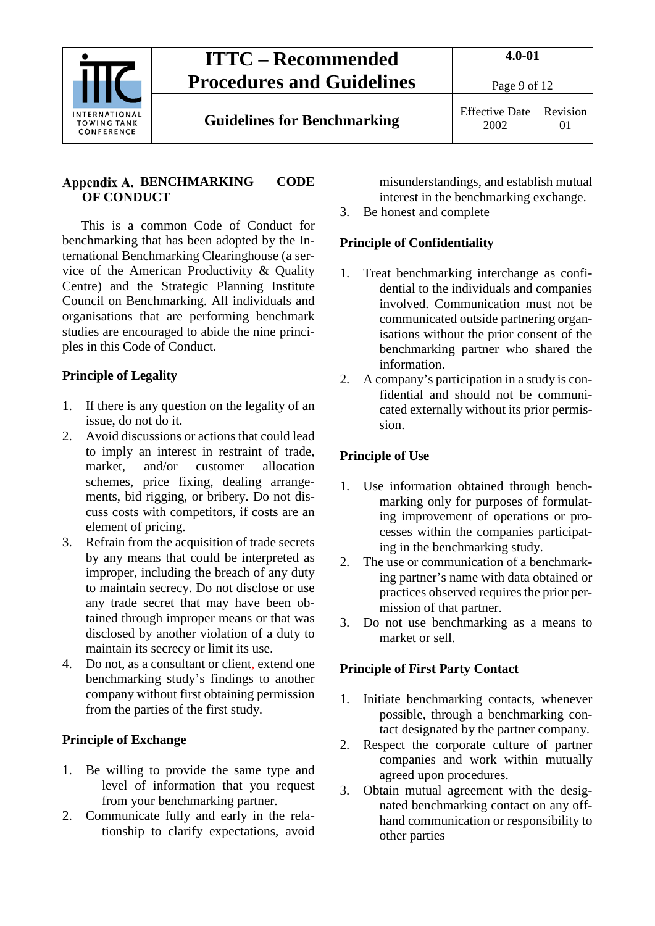

Page 9 of 12

### <span id="page-8-0"></span>Appendix A. BENCHMARKING CODE **OF CONDUCT**

This is a common Code of Conduct for benchmarking that has been adopted by the International Benchmarking Clearinghouse (a service of the American Productivity & Quality Centre) and the Strategic Planning Institute Council on Benchmarking. All individuals and organisations that are performing benchmark studies are encouraged to abide the nine principles in this Code of Conduct.

### **Principle of Legality**

- 1. If there is any question on the legality of an issue, do not do it.
- 2. Avoid discussions or actions that could lead to imply an interest in restraint of trade, market, and/or customer allocation schemes, price fixing, dealing arrangements, bid rigging, or bribery. Do not discuss costs with competitors, if costs are an element of pricing.
- 3. Refrain from the acquisition of trade secrets by any means that could be interpreted as improper, including the breach of any duty to maintain secrecy. Do not disclose or use any trade secret that may have been obtained through improper means or that was disclosed by another violation of a duty to maintain its secrecy or limit its use.
- 4. Do not, as a consultant or client, extend one benchmarking study's findings to another company without first obtaining permission from the parties of the first study.

### **Principle of Exchange**

- 1. Be willing to provide the same type and level of information that you request from your benchmarking partner.
- 2. Communicate fully and early in the relationship to clarify expectations, avoid

misunderstandings, and establish mutual interest in the benchmarking exchange.

3. Be honest and complete

### **Principle of Confidentiality**

- 1. Treat benchmarking interchange as confidential to the individuals and companies involved. Communication must not be communicated outside partnering organisations without the prior consent of the benchmarking partner who shared the information.
- 2. A company's participation in a study is confidential and should not be communicated externally without its prior permission.

### **Principle of Use**

- 1. Use information obtained through benchmarking only for purposes of formulating improvement of operations or processes within the companies participating in the benchmarking study.
- 2. The use or communication of a benchmarking partner's name with data obtained or practices observed requires the prior permission of that partner.
- 3. Do not use benchmarking as a means to market or sell.

### **Principle of First Party Contact**

- 1. Initiate benchmarking contacts, whenever possible, through a benchmarking contact designated by the partner company.
- 2. Respect the corporate culture of partner companies and work within mutually agreed upon procedures.
- 3. Obtain mutual agreement with the designated benchmarking contact on any offhand communication or responsibility to other parties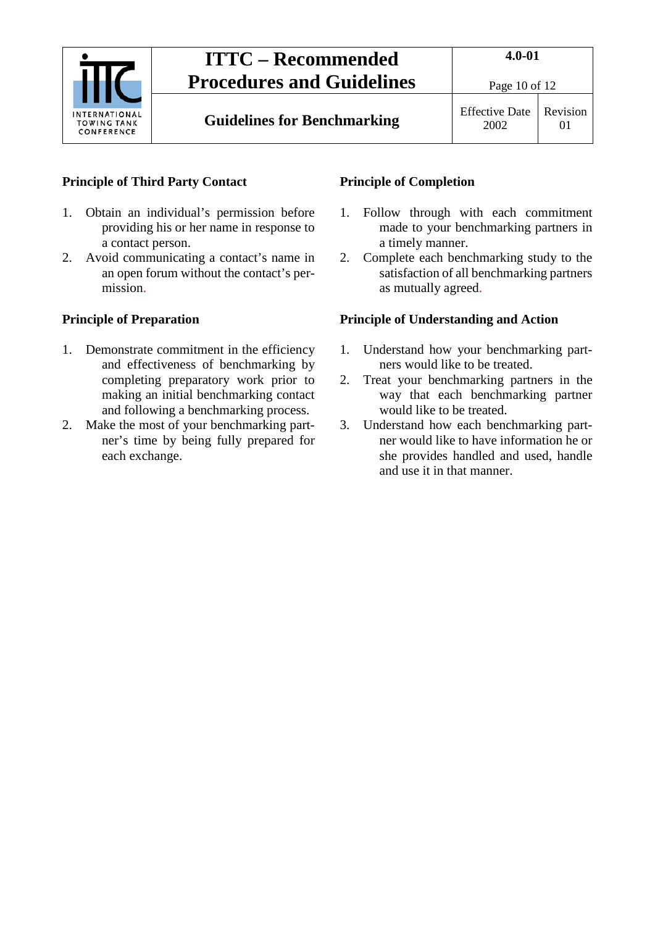

01

### **Principle of Third Party Contact**

- 1. Obtain an individual's permission before providing his or her name in response to a contact person.
- 2. Avoid communicating a contact's name in an open forum without the contact's permission.

#### **Principle of Preparation**

- 1. Demonstrate commitment in the efficiency and effectiveness of benchmarking by completing preparatory work prior to making an initial benchmarking contact and following a benchmarking process.
- 2. Make the most of your benchmarking partner's time by being fully prepared for each exchange.

### **Principle of Completion**

- 1. Follow through with each commitment made to your benchmarking partners in a timely manner.
- 2. Complete each benchmarking study to the satisfaction of all benchmarking partners as mutually agreed.

#### **Principle of Understanding and Action**

- 1. Understand how your benchmarking partners would like to be treated.
- 2. Treat your benchmarking partners in the way that each benchmarking partner would like to be treated.
- 3. Understand how each benchmarking partner would like to have information he or she provides handled and used, handle and use it in that manner.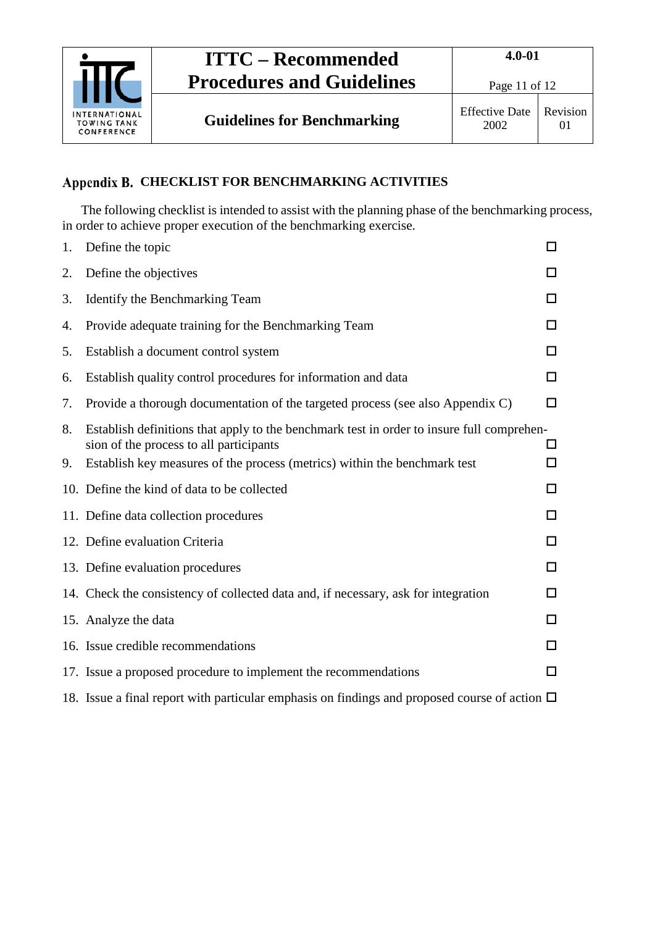

**Guidelines for Benchmarking** Effective Date

## <span id="page-10-0"></span>**Appendix B. CHECKLIST FOR BENCHMARKING ACTIVITIES**

The following checklist is intended to assist with the planning phase of the benchmarking process, in order to achieve proper execution of the benchmarking exercise.

| 1. | Define the topic                                                                                                                     | П  |
|----|--------------------------------------------------------------------------------------------------------------------------------------|----|
| 2. | Define the objectives                                                                                                                |    |
| 3. | Identify the Benchmarking Team                                                                                                       | ΙI |
| 4. | Provide adequate training for the Benchmarking Team                                                                                  | ΙI |
| 5. | Establish a document control system                                                                                                  | П  |
| 6. | Establish quality control procedures for information and data                                                                        | □  |
| 7. | Provide a thorough documentation of the targeted process (see also Appendix C)                                                       | □  |
| 8. | Establish definitions that apply to the benchmark test in order to insure full comprehen-<br>sion of the process to all participants |    |
| 9. | Establish key measures of the process (metrics) within the benchmark test                                                            | П  |
|    | 10. Define the kind of data to be collected                                                                                          | ΙI |
|    | 11. Define data collection procedures                                                                                                | ப  |
|    | 12. Define evaluation Criteria                                                                                                       | ப  |
|    | 13. Define evaluation procedures                                                                                                     | □  |
|    | 14. Check the consistency of collected data and, if necessary, ask for integration                                                   | LΙ |
|    | 15. Analyze the data                                                                                                                 |    |
|    | 16. Issue credible recommendations                                                                                                   | ΙI |
|    | 17. Issue a proposed procedure to implement the recommendations                                                                      | □  |
|    | 18. Issue a final report with particular emphasis on findings and proposed course of action $\Box$                                   |    |